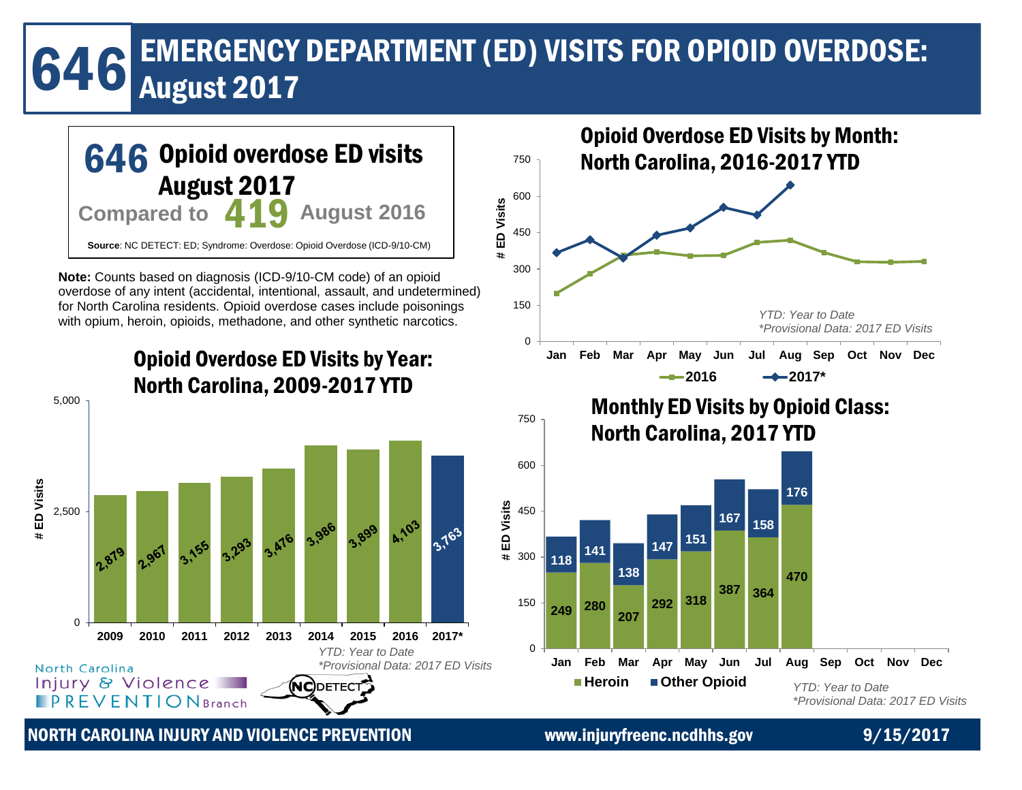# EMERGENCY DEPARTMENT (ED) VISITS FOR OPIOID OVERDOSE:<br>August 2017



NORTH CAROLINA INJURY AND VIOLENCE PREVENTION www.injuryfreenc.ncdhhs.gov 9/15/2017